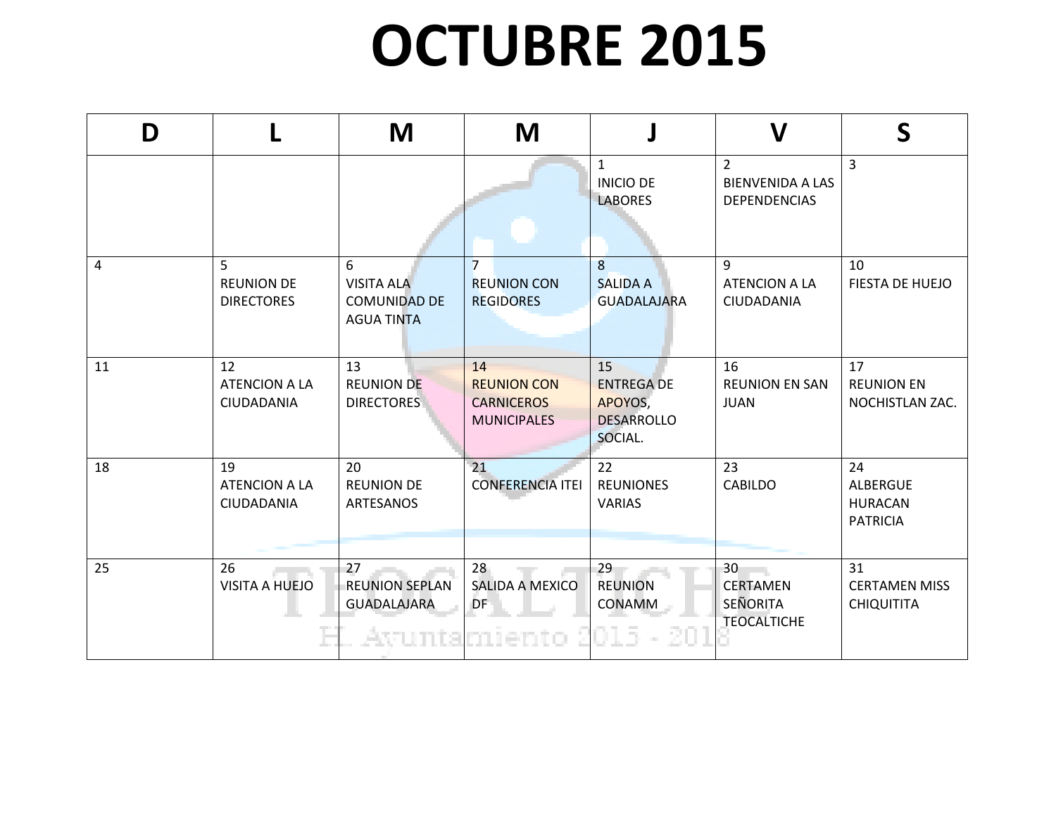## **OCTUBRE 2015**

| D  |                                                          | M                                                                  | M                                                                   |                                                                    | $\boldsymbol{\mathsf{V}}$                                        | $\mathsf{S}$                                               |
|----|----------------------------------------------------------|--------------------------------------------------------------------|---------------------------------------------------------------------|--------------------------------------------------------------------|------------------------------------------------------------------|------------------------------------------------------------|
|    |                                                          |                                                                    |                                                                     | $\mathbf{1}$<br><b>INICIO DE</b><br><b>LABORES</b>                 | $\overline{2}$<br><b>BIENVENIDA A LAS</b><br><b>DEPENDENCIAS</b> | 3                                                          |
| 4  | 5 <sup>5</sup><br><b>REUNION DE</b><br><b>DIRECTORES</b> | 6<br><b>VISITA ALA</b><br><b>COMUNIDAD DE</b><br><b>AGUA TINTA</b> | $\overline{7}$<br><b>REUNION CON</b><br><b>REGIDORES</b>            | 8<br><b>SALIDA A</b><br><b>GUADALAJARA</b>                         | 9<br>ATENCION A LA<br>CIUDADANIA                                 | 10<br>FIESTA DE HUEJO                                      |
| 11 | 12<br><b>ATENCION A LA</b><br>CIUDADANIA                 | 13<br><b>REUNION DE</b><br><b>DIRECTORES</b>                       | 14<br><b>REUNION CON</b><br><b>CARNICEROS</b><br><b>MUNICIPALES</b> | 15<br><b>ENTREGA DE</b><br>APOYOS,<br><b>DESARROLLO</b><br>SOCIAL. | 16<br><b>REUNION EN SAN</b><br><b>JUAN</b>                       | 17<br><b>REUNION EN</b><br>NOCHISTLAN ZAC.                 |
| 18 | 19<br><b>ATENCION A LA</b><br>CIUDADANIA                 | 20<br><b>REUNION DE</b><br>ARTESANOS                               | 21<br><b>CONFERENCIA ITEI</b>                                       | 22<br><b>REUNIONES</b><br>VARIAS                                   | 23<br><b>CABILDO</b>                                             | 24<br><b>ALBERGUE</b><br><b>HURACAN</b><br><b>PATRICIA</b> |
| 25 | 26<br><b>VISITA A HUEJO</b>                              | 27<br><b>REUNION SEPLAN</b><br><b>GUADALAJARA</b>                  | 28<br>SALIDA A MEXICO<br>DF<br>Avuntamiento 2015                    | 29<br><b>REUNION</b><br>CONAMM                                     | 30<br><b>CERTAMEN</b><br><b>SEÑORITA</b><br><b>TEOCALTICHE</b>   | 31<br><b>CERTAMEN MISS</b><br><b>CHIQUITITA</b>            |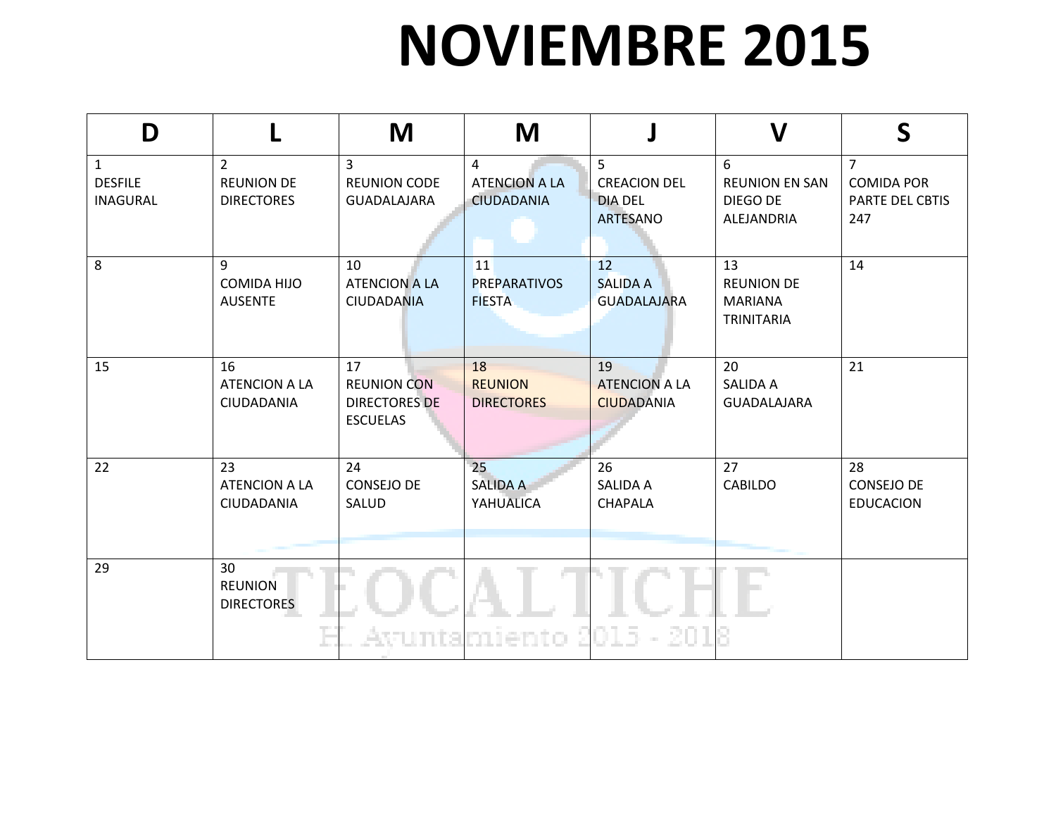## **NOVIEMBRE 2015**

| D                                                 |                                                          | M                                                                   | M                                                           |                                                                            | $\mathbf V$                                                    | S                                                             |
|---------------------------------------------------|----------------------------------------------------------|---------------------------------------------------------------------|-------------------------------------------------------------|----------------------------------------------------------------------------|----------------------------------------------------------------|---------------------------------------------------------------|
| $\mathbf{1}$<br><b>DESFILE</b><br><b>INAGURAL</b> | $\overline{2}$<br><b>REUNION DE</b><br><b>DIRECTORES</b> | 3<br><b>REUNION CODE</b><br><b>GUADALAJARA</b>                      | $\overline{4}$<br><b>ATENCION A LA</b><br><b>CIUDADANIA</b> | 5 <sup>1</sup><br><b>CREACION DEL</b><br><b>DIA DEL</b><br><b>ARTESANO</b> | 6<br><b>REUNION EN SAN</b><br>DIEGO DE<br>ALEJANDRIA           | $\overline{7}$<br><b>COMIDA POR</b><br>PARTE DEL CBTIS<br>247 |
| 8                                                 | 9<br><b>COMIDA HIJO</b><br><b>AUSENTE</b>                | 10<br><b>ATENCION A LA</b><br><b>CIUDADANIA</b>                     | 11<br><b>PREPARATIVOS</b><br><b>FIESTA</b>                  | 12<br><b>SALIDA A</b><br><b>GUADALAJARA</b>                                | 13<br><b>REUNION DE</b><br><b>MARIANA</b><br><b>TRINITARIA</b> | 14                                                            |
| 15                                                | 16<br><b>ATENCION A LA</b><br>CIUDADANIA                 | 17<br><b>REUNION CON</b><br><b>DIRECTORES DE</b><br><b>ESCUELAS</b> | 18<br><b>REUNION</b><br><b>DIRECTORES</b>                   | 19<br><b>ATENCION A LA</b><br><b>CIUDADANIA</b>                            | 20<br><b>SALIDA A</b><br><b>GUADALAJARA</b>                    | 21                                                            |
| 22                                                | 23<br><b>ATENCION A LA</b><br>CIUDADANIA                 | 24<br><b>CONSEJO DE</b><br>SALUD                                    | 25<br><b>SALIDA A</b><br>YAHUALICA                          | 26<br><b>SALIDA A</b><br><b>CHAPALA</b>                                    | 27<br><b>CABILDO</b>                                           | 28<br><b>CONSEJO DE</b><br><b>EDUCACION</b>                   |
| 29                                                | 30<br><b>REUNION</b><br><b>DIRECTORES</b>                |                                                                     | Avuntamiento                                                | $015 - 201$                                                                | P.                                                             |                                                               |